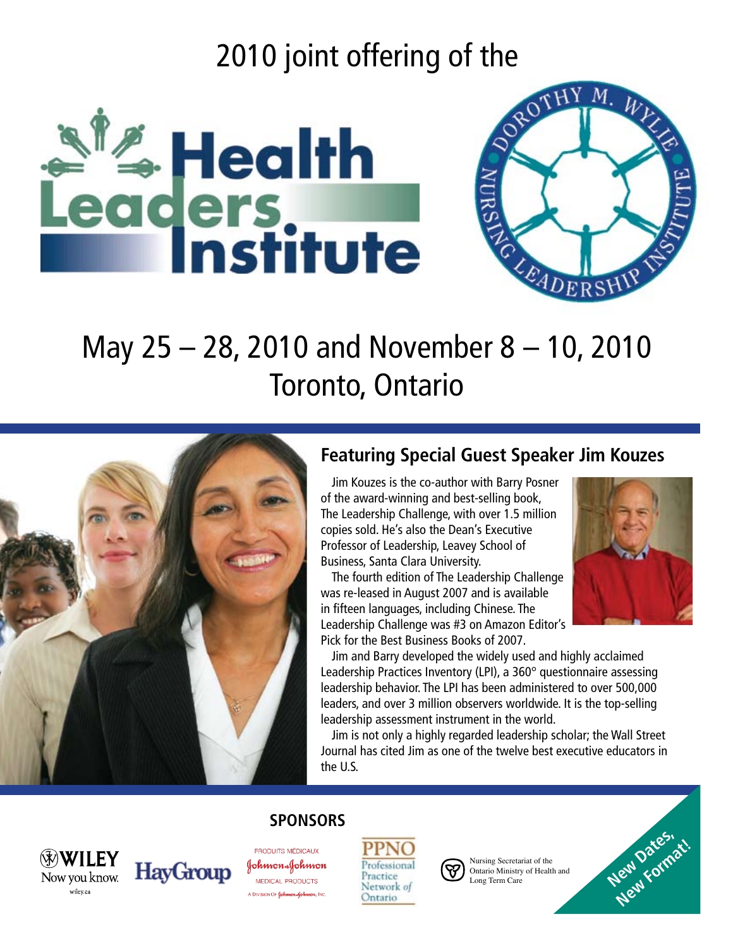# 2010 joint offering of the





# May 25 – 28, 2010 and November 8 – 10, 2010 Toronto, Ontario



**HayGroup** 

Now you know.

wiley.ca

### **Featuring Special Guest Speaker Jim Kouzes**

Jim Kouzes is the co-author with Barry Posner of the award-winning and best-selling book, The Leadership Challenge, with over 1.5 million copies sold. He's also the Dean's Executive Professor of Leadership, Leavey School of Business, Santa Clara University.

 The fourth edition of The Leadership Challenge was re-leased in August 2007 and is available in fifteen languages, including Chinese. The Leadership Challenge was #3 on Amazon Editor's Pick for the Best Business Books of 2007.



**New Dates, dt.** 

 Jim and Barry developed the widely used and highly acclaimed Leadership Practices Inventory (LPI), a 360° questionnaire assessing leadership behavior. The LPI has been administered to over 500,000 leaders, and over 3 million observers worldwide. It is the top-selling leadership assessment instrument in the world.

 Jim is not only a highly regarded leadership scholar; the Wall Street Journal has cited Jim as one of the twelve best executive educators in the U.S.

### **Sponsors**

PRODUITS MÉDICAUX JohnnonaJohnnon MEDICAL PRODUCTS A DIVISION OF Johnson Johnson, INC

Professiona Practice Network of Ontario



Nursing Secretariat of the Ontario Ministry of Health and Long Term Care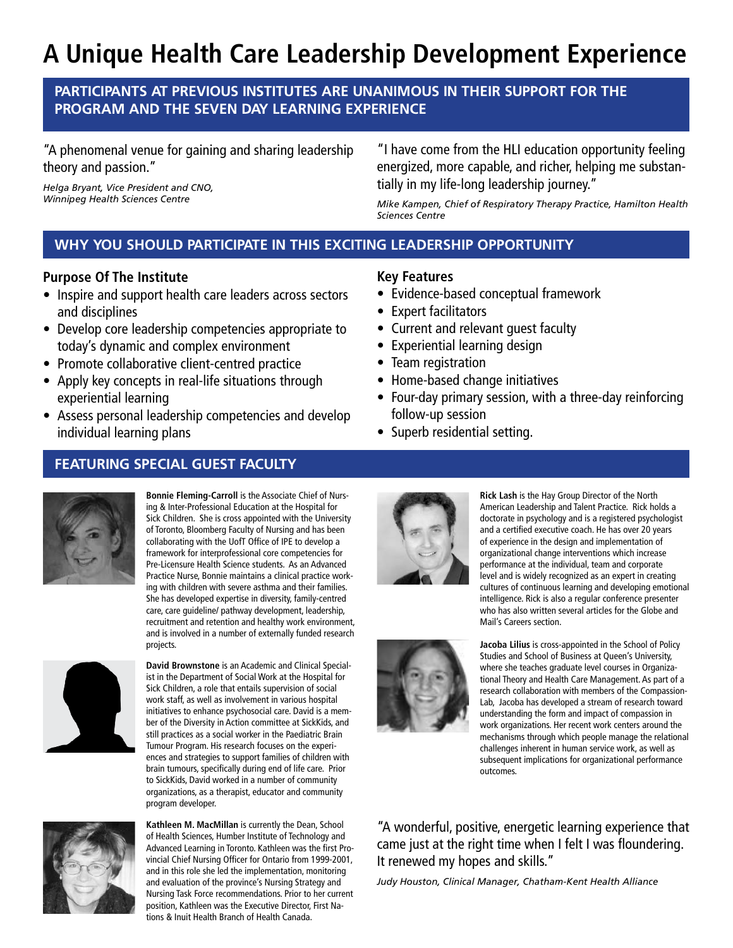## **A Unique Health Care Leadership Development Experience**

#### **Participants at previous Institutes are unanimous in their support for the program and the seven day learning experience**

"A phenomenal venue for gaining and sharing leadership theory and passion."

*Helga Bryant, Vice President and CNO, Winnipeg Health Sciences Centre*

"I have come from the HLI education opportunity feeling energized, more capable, and richer, helping me substantially in my life-long leadership journey."

*Mike Kampen, Chief of Respiratory Therapy Practice, Hamilton Health Sciences Centre*

### **WHY YOU SHOULD PARTICIPATE IN THIS EXCITING LEADERSHIP OPPORTUNITY**

#### **Purpose Of The Institute**

- Inspire and support health care leaders across sectors and disciplines
- Develop core leadership competencies appropriate to today's dynamic and complex environment
- Promote collaborative client-centred practice
- Apply key concepts in real-life situations through experiential learning
- Assess personal leadership competencies and develop individual learning plans

#### **FEATURING SPECIAL GUEST FACULTY**



**Bonnie Fleming-Carroll** is the Associate Chief of Nursing & Inter-Professional Education at the Hospital for Sick Children. She is cross appointed with the University of Toronto, Bloomberg Faculty of Nursing and has been collaborating with the UofT Office of IPE to develop a framework for interprofessional core competencies for Pre-Licensure Health Science students. As an Advanced Practice Nurse, Bonnie maintains a clinical practice working with children with severe asthma and their families. She has developed expertise in diversity, family-centred care, care guideline/ pathway development, leadership, recruitment and retention and healthy work environment, and is involved in a number of externally funded research projects.



**David Brownstone** is an Academic and Clinical Specialist in the Department of Social Work at the Hospital for Sick Children, a role that entails supervision of social work staff, as well as involvement in various hospital initiatives to enhance psychosocial care. David is a member of the Diversity in Action committee at SickKids, and still practices as a social worker in the Paediatric Brain Tumour Program. His research focuses on the experiences and strategies to support families of children with brain tumours, specifically during end of life care. Prior to SickKids, David worked in a number of community organizations, as a therapist, educator and community program developer.



**Kathleen M. MacMillan** is currently the Dean, School of Health Sciences, Humber Institute of Technology and Advanced Learning in Toronto. Kathleen was the first Provincial Chief Nursing Officer for Ontario from 1999-2001, and in this role she led the implementation, monitoring and evaluation of the province's Nursing Strategy and Nursing Task Force recommendations. Prior to her current position, Kathleen was the Executive Director, First Nations & Inuit Health Branch of Health Canada.

#### **Key Features**

- Evidence-based conceptual framework
- Expert facilitators
- Current and relevant quest faculty
- Experiential learning design
- Team registration
- Home-based change initiatives
- Four-day primary session, with a three-day reinforcing follow-up session
- Superb residential setting.



**Rick Lash** is the Hay Group Director of the North American Leadership and Talent Practice. Rick holds a doctorate in psychology and is a registered psychologist and a certified executive coach. He has over 20 years of experience in the design and implementation of organizational change interventions which increase performance at the individual, team and corporate level and is widely recognized as an expert in creating cultures of continuous learning and developing emotional intelligence. Rick is also a regular conference presenter who has also written several articles for the Globe and Mail's Careers section.



**Jacoba Lilius** is cross-appointed in the School of Policy Studies and School of Business at Queen's University, where she teaches graduate level courses in Organizational Theory and Health Care Management. As part of a research collaboration with members of the Compassion-Lab, Jacoba has developed a stream of research toward understanding the form and impact of compassion in work organizations. Her recent work centers around the mechanisms through which people manage the relational challenges inherent in human service work, as well as subsequent implications for organizational performance outcomes.

"A wonderful, positive, energetic learning experience that came just at the right time when I felt I was floundering. It renewed my hopes and skills."

*Judy Houston, Clinical Manager, Chatham-Kent Health Alliance*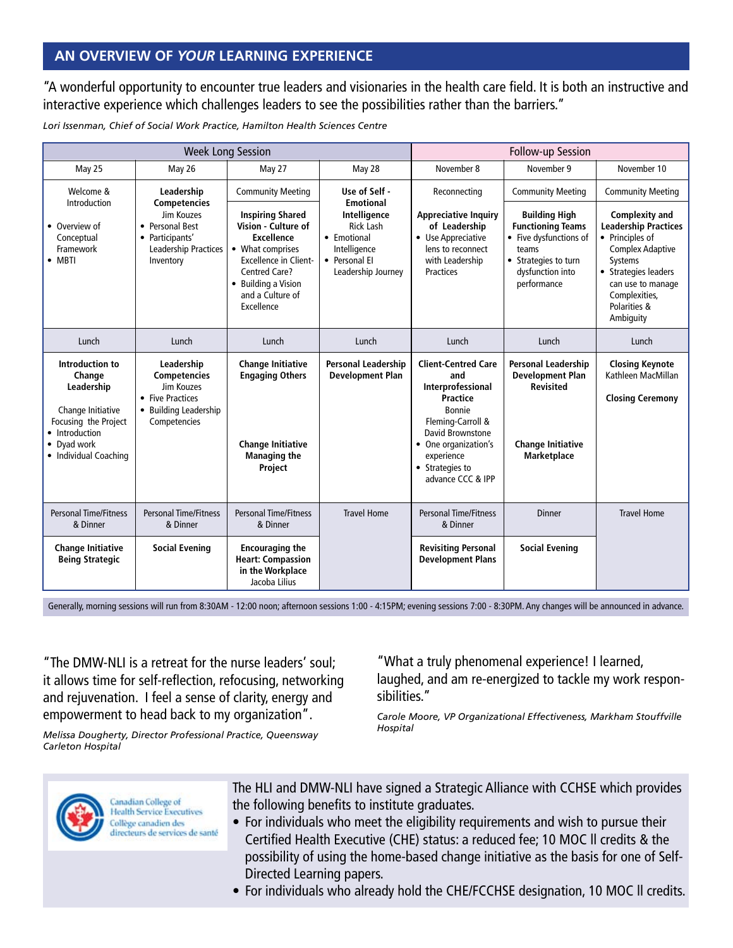#### **AN OVERVIEW OF** *YOUR* **LEARNING EXPERIENCE**

"A wonderful opportunity to encounter true leaders and visionaries in the health care field. It is both an instructive and interactive experience which challenges leaders to see the possibilities rather than the barriers."

*Lori Issenman, Chief of Social Work Practice, Hamilton Health Sciences Centre*

| <b>Week Long Session</b>                                                                                                                       |                                                                                                              |                                                                                                                                                                                                          |                                                                                                        | Follow-up Session                                                                                                                                                                                          |                                                                                                                                                |                                                                                                                                                                                                          |
|------------------------------------------------------------------------------------------------------------------------------------------------|--------------------------------------------------------------------------------------------------------------|----------------------------------------------------------------------------------------------------------------------------------------------------------------------------------------------------------|--------------------------------------------------------------------------------------------------------|------------------------------------------------------------------------------------------------------------------------------------------------------------------------------------------------------------|------------------------------------------------------------------------------------------------------------------------------------------------|----------------------------------------------------------------------------------------------------------------------------------------------------------------------------------------------------------|
| May 25                                                                                                                                         | May 26                                                                                                       | May 27                                                                                                                                                                                                   | May 28                                                                                                 | November 8                                                                                                                                                                                                 | November 9                                                                                                                                     | November 10                                                                                                                                                                                              |
| Welcome &<br>Introduction                                                                                                                      | Leadership<br><b>Competencies</b>                                                                            | <b>Community Meeting</b>                                                                                                                                                                                 | Use of Self -<br><b>Emotional</b>                                                                      | Reconnecting                                                                                                                                                                                               | <b>Community Meeting</b>                                                                                                                       | <b>Community Meeting</b>                                                                                                                                                                                 |
| • Overview of<br>Conceptual<br>Framework<br>$\bullet$ MBTI                                                                                     | Jim Kouzes<br>• Personal Best<br>• Participants'<br>Leadership Practices<br>Inventory                        | <b>Inspiring Shared</b><br>Vision - Culture of<br><b>Excellence</b><br>• What comprises<br><b>Excellence in Client-</b><br><b>Centred Care?</b><br>• Building a Vision<br>and a Culture of<br>Excellence | Intelligence<br><b>Rick Lash</b><br>• Emotional<br>Intelligence<br>• Personal El<br>Leadership Journey | <b>Appreciative Inquiry</b><br>of Leadership<br>• Use Appreciative<br>lens to reconnect<br>with Leadership<br><b>Practices</b>                                                                             | <b>Building High</b><br><b>Functioning Teams</b><br>• Five dysfunctions of<br>teams<br>• Strategies to turn<br>dysfunction into<br>performance | <b>Complexity and</b><br><b>Leadership Practices</b><br>• Principles of<br><b>Complex Adaptive</b><br>Systems<br>• Strategies leaders<br>can use to manage<br>Complexities,<br>Polarities &<br>Ambiguity |
| Lunch                                                                                                                                          | Lunch                                                                                                        | Lunch                                                                                                                                                                                                    | Lunch                                                                                                  | Lunch                                                                                                                                                                                                      | Lunch                                                                                                                                          | Lunch                                                                                                                                                                                                    |
| Introduction to<br>Change<br>Leadership<br>Change Initiative<br>Focusing the Project<br>• Introduction<br>• Dyad work<br>• Individual Coaching | Leadership<br><b>Competencies</b><br>Jim Kouzes<br>• Five Practices<br>• Building Leadership<br>Competencies | <b>Change Initiative</b><br><b>Engaging Others</b><br><b>Change Initiative</b><br><b>Managing the</b><br>Project                                                                                         | <b>Personal Leadership</b><br><b>Development Plan</b>                                                  | <b>Client-Centred Care</b><br>and<br>Interprofessional<br><b>Practice</b><br>Bonnie<br>Fleming-Carroll &<br>David Brownstone<br>• One organization's<br>experience<br>• Strategies to<br>advance CCC & IPP | <b>Personal Leadership</b><br><b>Development Plan</b><br><b>Revisited</b><br><b>Change Initiative</b><br>Marketplace                           | <b>Closing Keynote</b><br>Kathleen MacMillan<br><b>Closing Ceremony</b>                                                                                                                                  |
| <b>Personal Time/Fitness</b><br>& Dinner                                                                                                       | <b>Personal Time/Fitness</b><br>& Dinner                                                                     | <b>Personal Time/Fitness</b><br>& Dinner                                                                                                                                                                 | <b>Travel Home</b>                                                                                     | <b>Personal Time/Fitness</b><br>& Dinner                                                                                                                                                                   | <b>Dinner</b>                                                                                                                                  | <b>Travel Home</b>                                                                                                                                                                                       |
| <b>Change Initiative</b><br><b>Being Strategic</b>                                                                                             | <b>Social Evening</b>                                                                                        | <b>Encouraging the</b><br><b>Heart: Compassion</b><br>in the Workplace<br>Jacoba Lilius                                                                                                                  |                                                                                                        | <b>Revisiting Personal</b><br><b>Development Plans</b>                                                                                                                                                     | <b>Social Evening</b>                                                                                                                          |                                                                                                                                                                                                          |

Generally, morning sessions will run from 8:30AM - 12:00 noon; afternoon sessions 1:00 - 4:15PM; evening sessions 7:00 - 8:30PM. Any changes will be announced in advance.

"The DMW-NLI is a retreat for the nurse leaders' soul; it allows time for self-reflection, refocusing, networking and rejuvenation. I feel a sense of clarity, energy and empowerment to head back to my organization".

*Melissa Dougherty, Director Professional Practice, Queensway Carleton Hospital*

"What a truly phenomenal experience! I learned, laughed, and am re-energized to tackle my work responsibilities."

*Carole Moore, VP Organizational Effectiveness, Markham Stouffville Hospital*



The HLI and DMW-NLI have signed a Strategic Alliance with CCHSE which provides the following benefits to institute graduates.

- For individuals who meet the eligibility requirements and wish to pursue their Certified Health Executive (CHE) status: a reduced fee; 10 MOC ll credits & the possibility of using the home-based change initiative as the basis for one of Self- Directed Learning papers.
- For individuals who already hold the CHE/FCCHSE designation, 10 MOC II credits.